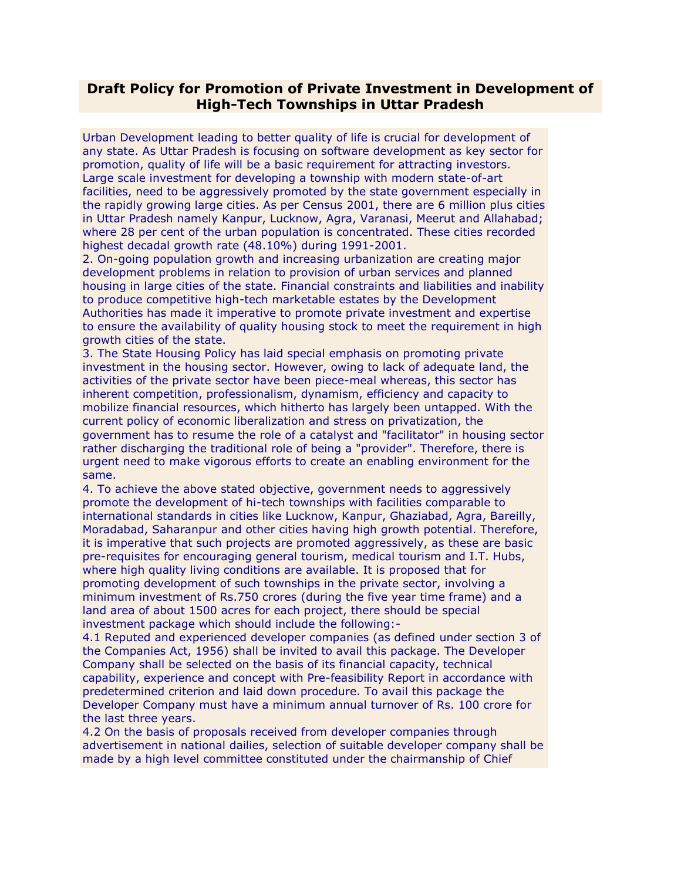## **Draft Policy for Promotion of Private Investment in Development of High-Tech Townships in Uttar Pradesh**

Urban Development leading to better quality of life is crucial for development of any state. As Uttar Pradesh is focusing on software development as key sector for promotion, quality of life will be a basic requirement for attracting investors. Large scale investment for developing a township with modern state-of-art facilities, need to be aggressively promoted by the state government especially in the rapidly growing large cities. As per Census 2001, there are 6 million plus cities in Uttar Pradesh namely Kanpur, Lucknow, Agra, Varanasi, Meerut and Allahabad; where 28 per cent of the urban population is concentrated. These cities recorded highest decadal growth rate (48.10%) during 1991-2001.

2. On-going population growth and increasing urbanization are creating major development problems in relation to provision of urban services and planned housing in large cities of the state. Financial constraints and liabilities and inability to produce competitive high-tech marketable estates by the Development Authorities has made it imperative to promote private investment and expertise to ensure the availability of quality housing stock to meet the requirement in high growth cities of the state.

3. The State Housing Policy has laid special emphasis on promoting private investment in the housing sector. However, owing to lack of adequate land, the activities of the private sector have been piece-meal whereas, this sector has inherent competition, professionalism, dynamism, efficiency and capacity to mobilize financial resources, which hitherto has largely been untapped. With the current policy of economic liberalization and stress on privatization, the government has to resume the role of a catalyst and "facilitator" in housing sector rather discharging the traditional role of being a "provider". Therefore, there is urgent need to make vigorous efforts to create an enabling environment for the same.

4. To achieve the above stated objective, government needs to aggressively promote the development of hi-tech townships with facilities comparable to international standards in cities like Lucknow, Kanpur, Ghaziabad, Agra, Bareilly, Moradabad, Saharanpur and other cities having high growth potential. Therefore, it is imperative that such projects are promoted aggressively, as these are basic pre-requisites for encouraging general tourism, medical tourism and I.T. Hubs, where high quality living conditions are available. It is proposed that for promoting development of such townships in the private sector, involving a minimum investment of Rs.750 crores (during the five year time frame) and a land area of about 1500 acres for each project, there should be special investment package which should include the following:-

4.1 Reputed and experienced developer companies (as defined under section 3 of the Companies Act, 1956) shall be invited to avail this package. The Developer Company shall be selected on the basis of its financial capacity, technical capability, experience and concept with Pre-feasibility Report in accordance with predetermined criterion and laid down procedure. To avail this package the Developer Company must have a minimum annual turnover of Rs. 100 crore for the last three years.

4.2 On the basis of proposals received from developer companies through advertisement in national dailies, selection of suitable developer company shall be made by a high level committee constituted under the chairmanship of Chief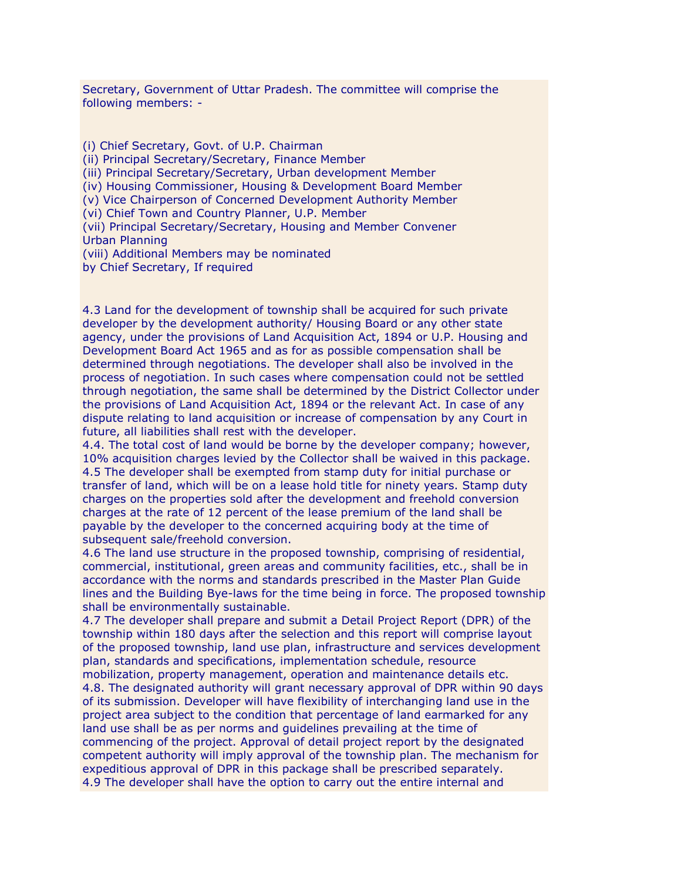Secretary, Government of Uttar Pradesh. The committee will comprise the following members: -

(i) Chief Secretary, Govt. of U.P. Chairman (ii) Principal Secretary/Secretary, Finance Member (iii) Principal Secretary/Secretary, Urban development Member (iv) Housing Commissioner, Housing & Development Board Member (v) Vice Chairperson of Concerned Development Authority Member (vi) Chief Town and Country Planner, U.P. Member (vii) Principal Secretary/Secretary, Housing and Member Convener Urban Planning (viii) Additional Members may be nominated by Chief Secretary, If required

4.3 Land for the development of township shall be acquired for such private developer by the development authority/ Housing Board or any other state agency, under the provisions of Land Acquisition Act, 1894 or U.P. Housing and Development Board Act 1965 and as for as possible compensation shall be determined through negotiations. The developer shall also be involved in the process of negotiation. In such cases where compensation could not be settled through negotiation, the same shall be determined by the District Collector under the provisions of Land Acquisition Act, 1894 or the relevant Act. In case of any dispute relating to land acquisition or increase of compensation by any Court in future, all liabilities shall rest with the developer.

4.4. The total cost of land would be borne by the developer company; however, 10% acquisition charges levied by the Collector shall be waived in this package. 4.5 The developer shall be exempted from stamp duty for initial purchase or transfer of land, which will be on a lease hold title for ninety years. Stamp duty charges on the properties sold after the development and freehold conversion charges at the rate of 12 percent of the lease premium of the land shall be payable by the developer to the concerned acquiring body at the time of subsequent sale/freehold conversion.

4.6 The land use structure in the proposed township, comprising of residential, commercial, institutional, green areas and community facilities, etc., shall be in accordance with the norms and standards prescribed in the Master Plan Guide lines and the Building Bye-laws for the time being in force. The proposed township shall be environmentally sustainable.

4.7 The developer shall prepare and submit a Detail Project Report (DPR) of the township within 180 days after the selection and this report will comprise layout of the proposed township, land use plan, infrastructure and services development plan, standards and specifications, implementation schedule, resource

mobilization, property management, operation and maintenance details etc. 4.8. The designated authority will grant necessary approval of DPR within 90 days of its submission. Developer will have flexibility of interchanging land use in the project area subject to the condition that percentage of land earmarked for any land use shall be as per norms and guidelines prevailing at the time of commencing of the project. Approval of detail project report by the designated competent authority will imply approval of the township plan. The mechanism for expeditious approval of DPR in this package shall be prescribed separately. 4.9 The developer shall have the option to carry out the entire internal and